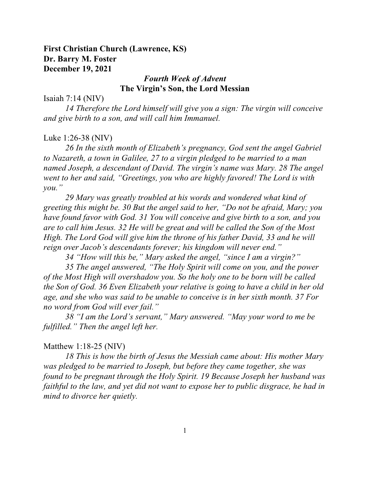# **First Christian Church (Lawrence, KS) Dr. Barry M. Foster December 19, 2021**

## *Fourth Week of Advent* **The Virgin's Son, the Lord Messian**

Isaiah 7:14 (NIV)

*14 Therefore the Lord himself will give you a sign: The virgin will conceive and give birth to a son, and will call him Immanuel.*

#### Luke 1:26-38 (NIV)

*26 In the sixth month of Elizabeth's pregnancy, God sent the angel Gabriel to Nazareth, a town in Galilee, 27 to a virgin pledged to be married to a man named Joseph, a descendant of David. The virgin's name was Mary. 28 The angel went to her and said, "Greetings, you who are highly favored! The Lord is with you."*

*29 Mary was greatly troubled at his words and wondered what kind of greeting this might be. 30 But the angel said to her, "Do not be afraid, Mary; you have found favor with God. 31 You will conceive and give birth to a son, and you are to call him Jesus. 32 He will be great and will be called the Son of the Most High. The Lord God will give him the throne of his father David, 33 and he will reign over Jacob's descendants forever; his kingdom will never end."*

*34 "How will this be," Mary asked the angel, "since I am a virgin?"*

*35 The angel answered, "The Holy Spirit will come on you, and the power of the Most High will overshadow you. So the holy one to be born will be called the Son of God. 36 Even Elizabeth your relative is going to have a child in her old age, and she who was said to be unable to conceive is in her sixth month. 37 For no word from God will ever fail."*

*38 "I am the Lord's servant," Mary answered. "May your word to me be fulfilled." Then the angel left her.*

### Matthew 1:18-25 (NIV)

*18 This is how the birth of Jesus the Messiah came about: His mother Mary was pledged to be married to Joseph, but before they came together, she was found to be pregnant through the Holy Spirit. 19 Because Joseph her husband was faithful to the law, and yet did not want to expose her to public disgrace, he had in mind to divorce her quietly.*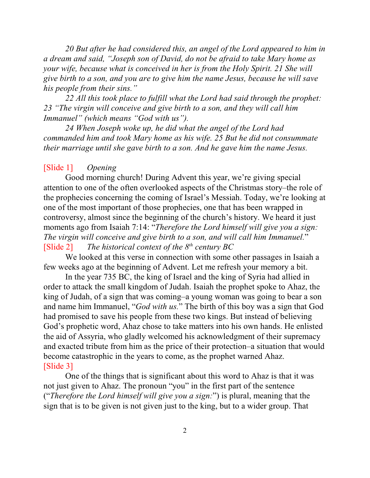*20 But after he had considered this, an angel of the Lord appeared to him in a dream and said, "Joseph son of David, do not be afraid to take Mary home as your wife, because what is conceived in her is from the Holy Spirit. 21 She will give birth to a son, and you are to give him the name Jesus, because he will save his people from their sins."*

*22 All this took place to fulfill what the Lord had said through the prophet: 23 "The virgin will conceive and give birth to a son, and they will call him Immanuel" (which means "God with us").*

*24 When Joseph woke up, he did what the angel of the Lord had commanded him and took Mary home as his wife. 25 But he did not consummate their marriage until she gave birth to a son. And he gave him the name Jesus.*

### [Slide 1] *Opening*

Good morning church! During Advent this year, we're giving special attention to one of the often overlooked aspects of the Christmas story–the role of the prophecies concerning the coming of Israel's Messiah. Today, we're looking at one of the most important of those prophecies, one that has been wrapped in controversy, almost since the beginning of the church's history. We heard it just moments ago from Isaiah 7:14: "*Therefore the Lord himself will give you a sign: The virgin will conceive and give birth to a son, and will call him Immanuel.*" [Slide 2] *The historical context of the 8<sup>th</sup> century BC* 

We looked at this verse in connection with some other passages in Isaiah a few weeks ago at the beginning of Advent. Let me refresh your memory a bit.

In the year 735 BC, the king of Israel and the king of Syria had allied in order to attack the small kingdom of Judah. Isaiah the prophet spoke to Ahaz, the king of Judah, of a sign that was coming–a young woman was going to bear a son and name him Immanuel, "*God with us.*" The birth of this boy was a sign that God had promised to save his people from these two kings. But instead of believing God's prophetic word, Ahaz chose to take matters into his own hands. He enlisted the aid of Assyria, who gladly welcomed his acknowledgment of their supremacy and exacted tribute from him as the price of their protection–a situation that would become catastrophic in the years to come, as the prophet warned Ahaz. [Slide 3]

One of the things that is significant about this word to Ahaz is that it was not just given to Ahaz. The pronoun "you" in the first part of the sentence ("*Therefore the Lord himself will give you a sign:*") is plural, meaning that the sign that is to be given is not given just to the king, but to a wider group. That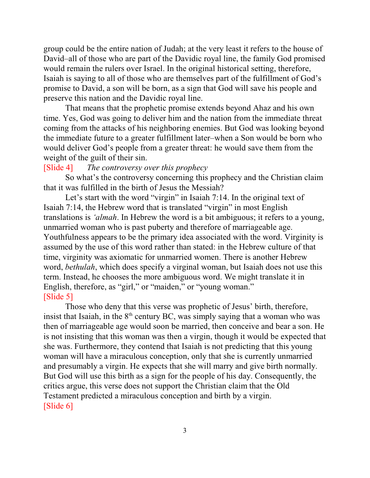group could be the entire nation of Judah; at the very least it refers to the house of David–all of those who are part of the Davidic royal line, the family God promised would remain the rulers over Israel. In the original historical setting, therefore, Isaiah is saying to all of those who are themselves part of the fulfillment of God's promise to David, a son will be born, as a sign that God will save his people and preserve this nation and the Davidic royal line.

That means that the prophetic promise extends beyond Ahaz and his own time. Yes, God was going to deliver him and the nation from the immediate threat coming from the attacks of his neighboring enemies. But God was looking beyond the immediate future to a greater fulfillment later–when a Son would be born who would deliver God's people from a greater threat: he would save them from the weight of the guilt of their sin.

## [Slide 4] *The controversy over this prophecy*

So what's the controversy concerning this prophecy and the Christian claim that it was fulfilled in the birth of Jesus the Messiah?

Let's start with the word "virgin" in Isaiah 7:14. In the original text of Isaiah 7:14, the Hebrew word that is translated "virgin" in most English translations is *'almah*. In Hebrew the word is a bit ambiguous; it refers to a young, unmarried woman who is past puberty and therefore of marriageable age. Youthfulness appears to be the primary idea associated with the word. Virginity is assumed by the use of this word rather than stated: in the Hebrew culture of that time, virginity was axiomatic for unmarried women. There is another Hebrew word, *bethulah*, which does specify a virginal woman, but Isaiah does not use this term. Instead, he chooses the more ambiguous word. We might translate it in English, therefore, as "girl," or "maiden," or "young woman." [Slide 5]

Those who deny that this verse was prophetic of Jesus' birth, therefore, insist that Isaiah, in the  $8<sup>th</sup>$  century BC, was simply saying that a woman who was then of marriageable age would soon be married, then conceive and bear a son. He is not insisting that this woman was then a virgin, though it would be expected that she was. Furthermore, they contend that Isaiah is not predicting that this young woman will have a miraculous conception, only that she is currently unmarried and presumably a virgin. He expects that she will marry and give birth normally. But God will use this birth as a sign for the people of his day. Consequently, the critics argue, this verse does not support the Christian claim that the Old Testament predicted a miraculous conception and birth by a virgin. [Slide 6]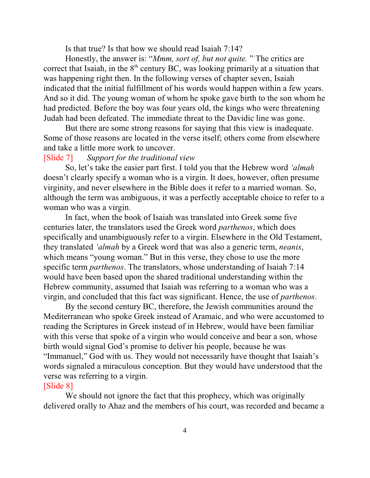Is that true? Is that how we should read Isaiah 7:14?

Honestly, the answer is: "*Mmm, sort of, but not quite.* " The critics are correct that Isaiah, in the  $8<sup>th</sup>$  century BC, was looking primarily at a situation that was happening right then. In the following verses of chapter seven, Isaiah indicated that the initial fulfillment of his words would happen within a few years. And so it did. The young woman of whom he spoke gave birth to the son whom he had predicted. Before the boy was four years old, the kings who were threatening Judah had been defeated. The immediate threat to the Davidic line was gone.

But there are some strong reasons for saying that this view is inadequate. Some of those reasons are located in the verse itself; others come from elsewhere and take a little more work to uncover.

#### [Slide 7] *Support for the traditional view*

So, let's take the easier part first. I told you that the Hebrew word *'almah* doesn't clearly specify a woman who is a virgin. It does, however, often presume virginity, and never elsewhere in the Bible does it refer to a married woman. So, although the term was ambiguous, it was a perfectly acceptable choice to refer to a woman who was a virgin.

In fact, when the book of Isaiah was translated into Greek some five centuries later, the translators used the Greek word *parthenos*, which does specifically and unambiguously refer to a virgin. Elsewhere in the Old Testament, they translated *'almah* by a Greek word that was also a generic term, *neanis*, which means "young woman." But in this verse, they chose to use the more specific term *parthenos*. The translators, whose understanding of Isaiah 7:14 would have been based upon the shared traditional understanding within the Hebrew community, assumed that Isaiah was referring to a woman who was a virgin, and concluded that this fact was significant. Hence, the use of *parthenos*.

By the second century BC, therefore, the Jewish communities around the Mediterranean who spoke Greek instead of Aramaic, and who were accustomed to reading the Scriptures in Greek instead of in Hebrew, would have been familiar with this verse that spoke of a virgin who would conceive and bear a son, whose birth would signal God's promise to deliver his people, because he was "Immanuel," God with us. They would not necessarily have thought that Isaiah's words signaled a miraculous conception. But they would have understood that the verse was referring to a virgin.

# [Slide 8]

We should not ignore the fact that this prophecy, which was originally delivered orally to Ahaz and the members of his court, was recorded and became a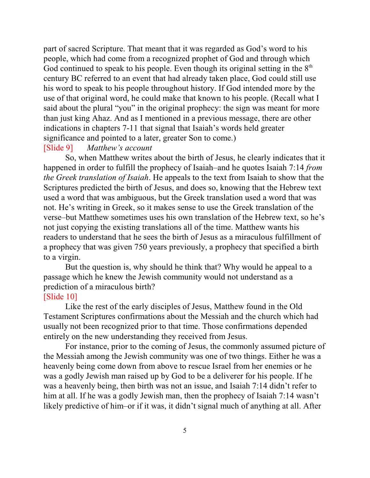part of sacred Scripture. That meant that it was regarded as God's word to his people, which had come from a recognized prophet of God and through which God continued to speak to his people. Even though its original setting in the  $8<sup>th</sup>$ century BC referred to an event that had already taken place, God could still use his word to speak to his people throughout history. If God intended more by the use of that original word, he could make that known to his people. (Recall what I said about the plural "you" in the original prophecy: the sign was meant for more than just king Ahaz. And as I mentioned in a previous message, there are other indications in chapters 7-11 that signal that Isaiah's words held greater significance and pointed to a later, greater Son to come.)

## [Slide 9] *Matthew's account*

So, when Matthew writes about the birth of Jesus, he clearly indicates that it happened in order to fulfill the prophecy of Isaiah–and he quotes Isaiah 7:14 *from the Greek translation of Isaiah*. He appeals to the text from Isaiah to show that the Scriptures predicted the birth of Jesus, and does so, knowing that the Hebrew text used a word that was ambiguous, but the Greek translation used a word that was not. He's writing in Greek, so it makes sense to use the Greek translation of the verse–but Matthew sometimes uses his own translation of the Hebrew text, so he's not just copying the existing translations all of the time. Matthew wants his readers to understand that he sees the birth of Jesus as a miraculous fulfillment of a prophecy that was given 750 years previously, a prophecy that specified a birth to a virgin.

But the question is, why should he think that? Why would he appeal to a passage which he knew the Jewish community would not understand as a prediction of a miraculous birth?

# [Slide 10]

Like the rest of the early disciples of Jesus, Matthew found in the Old Testament Scriptures confirmations about the Messiah and the church which had usually not been recognized prior to that time. Those confirmations depended entirely on the new understanding they received from Jesus.

For instance, prior to the coming of Jesus, the commonly assumed picture of the Messiah among the Jewish community was one of two things. Either he was a heavenly being come down from above to rescue Israel from her enemies or he was a godly Jewish man raised up by God to be a deliverer for his people. If he was a heavenly being, then birth was not an issue, and Isaiah 7:14 didn't refer to him at all. If he was a godly Jewish man, then the prophecy of Isaiah 7:14 wasn't likely predictive of him–or if it was, it didn't signal much of anything at all. After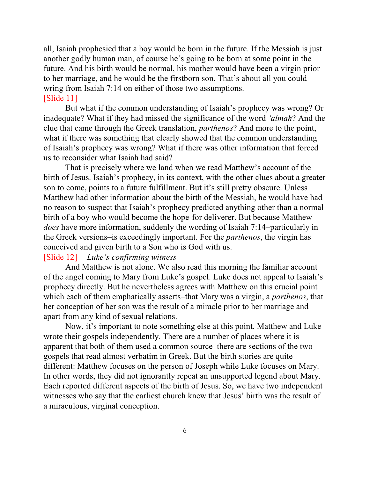all, Isaiah prophesied that a boy would be born in the future. If the Messiah is just another godly human man, of course he's going to be born at some point in the future. And his birth would be normal, his mother would have been a virgin prior to her marriage, and he would be the firstborn son. That's about all you could wring from Isaiah 7:14 on either of those two assumptions. [Slide 11]

But what if the common understanding of Isaiah's prophecy was wrong? Or inadequate? What if they had missed the significance of the word *'almah*? And the clue that came through the Greek translation, *parthenos*? And more to the point, what if there was something that clearly showed that the common understanding of Isaiah's prophecy was wrong? What if there was other information that forced us to reconsider what Isaiah had said?

That is precisely where we land when we read Matthew's account of the birth of Jesus. Isaiah's prophecy, in its context, with the other clues about a greater son to come, points to a future fulfillment. But it's still pretty obscure. Unless Matthew had other information about the birth of the Messiah, he would have had no reason to suspect that Isaiah's prophecy predicted anything other than a normal birth of a boy who would become the hope-for deliverer. But because Matthew *does* have more information, suddenly the wording of Isaiah 7:14–particularly in the Greek versions–is exceedingly important. For the *parthenos*, the virgin has conceived and given birth to a Son who is God with us.

## [Slide 12] *Luke's confirming witness*

And Matthew is not alone. We also read this morning the familiar account of the angel coming to Mary from Luke's gospel. Luke does not appeal to Isaiah's prophecy directly. But he nevertheless agrees with Matthew on this crucial point which each of them emphatically asserts–that Mary was a virgin, a *parthenos*, that her conception of her son was the result of a miracle prior to her marriage and apart from any kind of sexual relations.

Now, it's important to note something else at this point. Matthew and Luke wrote their gospels independently. There are a number of places where it is apparent that both of them used a common source–there are sections of the two gospels that read almost verbatim in Greek. But the birth stories are quite different: Matthew focuses on the person of Joseph while Luke focuses on Mary. In other words, they did not ignorantly repeat an unsupported legend about Mary. Each reported different aspects of the birth of Jesus. So, we have two independent witnesses who say that the earliest church knew that Jesus' birth was the result of a miraculous, virginal conception.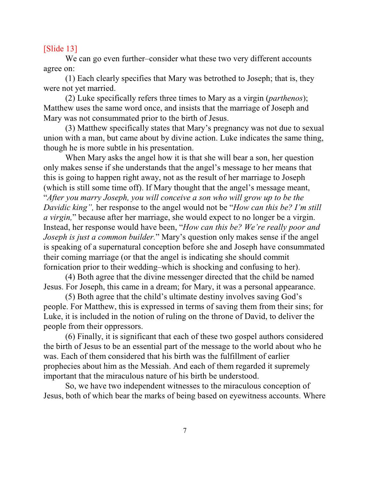### [Slide 13]

We can go even further–consider what these two very different accounts agree on:

(1) Each clearly specifies that Mary was betrothed to Joseph; that is, they were not yet married.

(2) Luke specifically refers three times to Mary as a virgin (*parthenos*); Matthew uses the same word once, and insists that the marriage of Joseph and Mary was not consummated prior to the birth of Jesus.

(3) Matthew specifically states that Mary's pregnancy was not due to sexual union with a man, but came about by divine action. Luke indicates the same thing, though he is more subtle in his presentation.

When Mary asks the angel how it is that she will bear a son, her question only makes sense if she understands that the angel's message to her means that this is going to happen right away, not as the result of her marriage to Joseph (which is still some time off). If Mary thought that the angel's message meant, "*After you marry Joseph, you will conceive a son who will grow up to be the Davidic king",* her response to the angel would not be "*How can this be? I'm still a virgin,*" because after her marriage, she would expect to no longer be a virgin. Instead, her response would have been, "*How can this be? We're really poor and Joseph is just a common builder.*" Mary's question only makes sense if the angel is speaking of a supernatural conception before she and Joseph have consummated their coming marriage (or that the angel is indicating she should commit fornication prior to their wedding–which is shocking and confusing to her).

(4) Both agree that the divine messenger directed that the child be named Jesus. For Joseph, this came in a dream; for Mary, it was a personal appearance.

(5) Both agree that the child's ultimate destiny involves saving God's people. For Matthew, this is expressed in terms of saving them from their sins; for Luke, it is included in the notion of ruling on the throne of David, to deliver the people from their oppressors.

(6) Finally, it is significant that each of these two gospel authors considered the birth of Jesus to be an essential part of the message to the world about who he was. Each of them considered that his birth was the fulfillment of earlier prophecies about him as the Messiah. And each of them regarded it supremely important that the miraculous nature of his birth be understood.

So, we have two independent witnesses to the miraculous conception of Jesus, both of which bear the marks of being based on eyewitness accounts. Where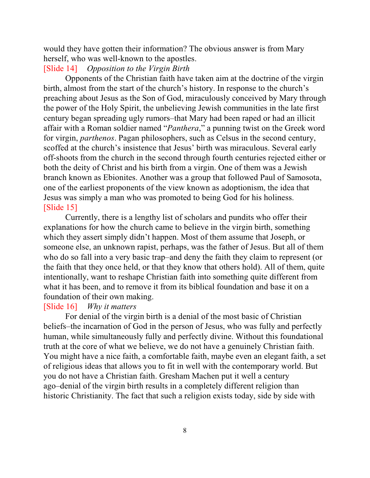would they have gotten their information? The obvious answer is from Mary herself, who was well-known to the apostles.

### [Slide 14] *Opposition to the Virgin Birth*

Opponents of the Christian faith have taken aim at the doctrine of the virgin birth, almost from the start of the church's history. In response to the church's preaching about Jesus as the Son of God, miraculously conceived by Mary through the power of the Holy Spirit, the unbelieving Jewish communities in the late first century began spreading ugly rumors–that Mary had been raped or had an illicit affair with a Roman soldier named "*Panthera*," a punning twist on the Greek word for virgin, *parthenos*. Pagan philosophers, such as Celsus in the second century, scoffed at the church's insistence that Jesus' birth was miraculous. Several early off-shoots from the church in the second through fourth centuries rejected either or both the deity of Christ and his birth from a virgin. One of them was a Jewish branch known as Ebionites. Another was a group that followed Paul of Samosota, one of the earliest proponents of the view known as adoptionism, the idea that Jesus was simply a man who was promoted to being God for his holiness. [Slide 15]

Currently, there is a lengthy list of scholars and pundits who offer their explanations for how the church came to believe in the virgin birth, something which they assert simply didn't happen. Most of them assume that Joseph, or someone else, an unknown rapist, perhaps, was the father of Jesus. But all of them who do so fall into a very basic trap–and deny the faith they claim to represent (or the faith that they once held, or that they know that others hold). All of them, quite intentionally, want to reshape Christian faith into something quite different from what it has been, and to remove it from its biblical foundation and base it on a foundation of their own making.

### [Slide 16] *Why it matters*

For denial of the virgin birth is a denial of the most basic of Christian beliefs–the incarnation of God in the person of Jesus, who was fully and perfectly human, while simultaneously fully and perfectly divine. Without this foundational truth at the core of what we believe, we do not have a genuinely Christian faith. You might have a nice faith, a comfortable faith, maybe even an elegant faith, a set of religious ideas that allows you to fit in well with the contemporary world. But you do not have a Christian faith. Gresham Machen put it well a century ago–denial of the virgin birth results in a completely different religion than historic Christianity. The fact that such a religion exists today, side by side with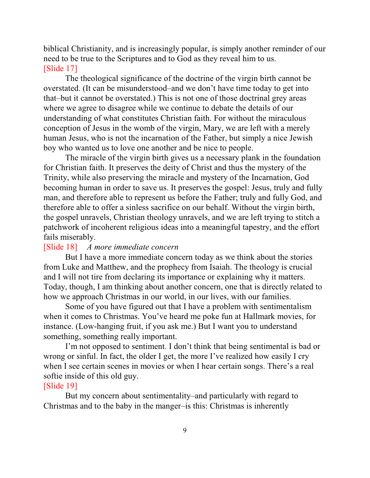biblical Christianity, and is increasingly popular, is simply another reminder of our need to be true to the Scriptures and to God as they reveal him to us. [Slide 17]

The theological significance of the doctrine of the virgin birth cannot be overstated. (It can be misunderstood–and we don't have time today to get into that–but it cannot be overstated.) This is not one of those doctrinal grey areas where we agree to disagree while we continue to debate the details of our understanding of what constitutes Christian faith. For without the miraculous conception of Jesus in the womb of the virgin, Mary, we are left with a merely human Jesus, who is not the incarnation of the Father, but simply a nice Jewish boy who wanted us to love one another and be nice to people.

The miracle of the virgin birth gives us a necessary plank in the foundation for Christian faith. It preserves the deity of Christ and thus the mystery of the Trinity, while also preserving the miracle and mystery of the Incarnation, God becoming human in order to save us. It preserves the gospel: Jesus, truly and fully man, and therefore able to represent us before the Father; truly and fully God, and therefore able to offer a sinless sacrifice on our behalf. Without the virgin birth, the gospel unravels, Christian theology unravels, and we are left trying to stitch a patchwork of incoherent religious ideas into a meaningful tapestry, and the effort fails miserably.

## [Slide 18] *A more immediate concern*

But I have a more immediate concern today as we think about the stories from Luke and Matthew, and the prophecy from Isaiah. The theology is crucial and I will not tire from declaring its importance or explaining why it matters. Today, though, I am thinking about another concern, one that is directly related to how we approach Christmas in our world, in our lives, with our families.

Some of you have figured out that I have a problem with sentimentalism when it comes to Christmas. You've heard me poke fun at Hallmark movies, for instance. (Low-hanging fruit, if you ask me.) But I want you to understand something, something really important.

I'm not opposed to sentiment. I don't think that being sentimental is bad or wrong or sinful. In fact, the older I get, the more I've realized how easily I cry when I see certain scenes in movies or when I hear certain songs. There's a real softie inside of this old guy.

### [Slide 19]

But my concern about sentimentality–and particularly with regard to Christmas and to the baby in the manger–is this: Christmas is inherently